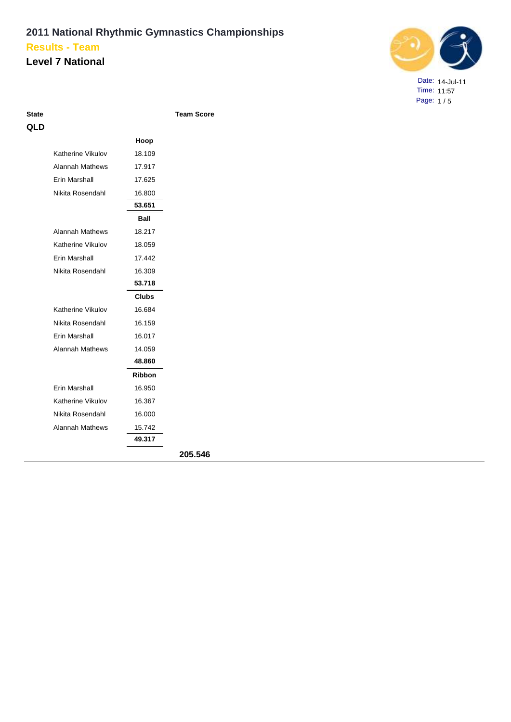### **Level 7 National**



Date: 14-Jul-11 Time: 11:57 Page: 1 / 5

| I<br>۰. | o m<br>. .<br>× | I<br>۰.<br><b>STATISTICS</b><br>M. |  |
|---------|-----------------|------------------------------------|--|
|         |                 |                                    |  |

**Team Score** 

| QLD |                        |               |         |
|-----|------------------------|---------------|---------|
|     |                        | Hoop          |         |
|     | Katherine Vikulov      | 18.109        |         |
|     | <b>Alannah Mathews</b> | 17.917        |         |
|     | Erin Marshall          | 17.625        |         |
|     | Nikita Rosendahl       | 16.800        |         |
|     |                        | 53.651        |         |
|     |                        | Ball          |         |
|     | <b>Alannah Mathews</b> | 18.217        |         |
|     | Katherine Vikulov      | 18.059        |         |
|     | Erin Marshall          | 17.442        |         |
|     | Nikita Rosendahl       | 16.309        |         |
|     |                        | 53.718        |         |
|     |                        | <b>Clubs</b>  |         |
|     | Katherine Vikulov      | 16.684        |         |
|     | Nikita Rosendahl       | 16.159        |         |
|     | Erin Marshall          | 16.017        |         |
|     | <b>Alannah Mathews</b> | 14.059        |         |
|     |                        | 48.860        |         |
|     |                        | <b>Ribbon</b> |         |
|     | Erin Marshall          | 16.950        |         |
|     | Katherine Vikulov      | 16.367        |         |
|     | Nikita Rosendahl       | 16.000        |         |
|     | <b>Alannah Mathews</b> | 15.742        |         |
|     |                        | 49.317        |         |
|     |                        |               | 205.546 |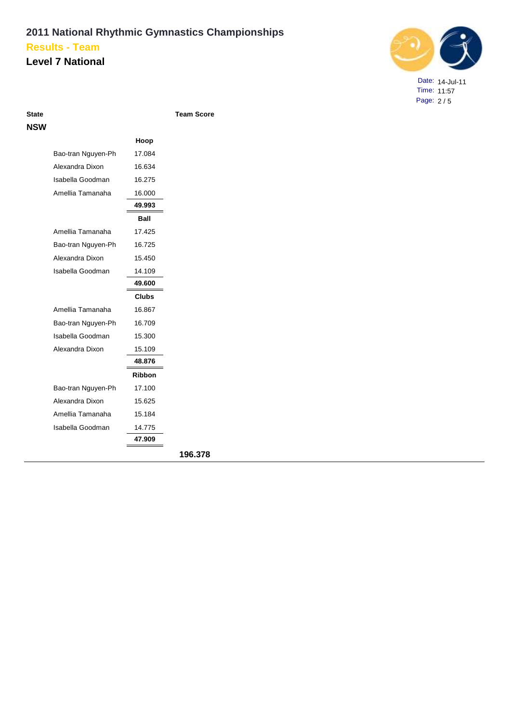### **Level 7 National**



Date: 14-Jul-11 Time: 11:57 Page: 2 / 5

| NSW |        |
|-----|--------|
|     | Bao-tr |
|     | Alexar |
|     | ا مطمط |

|                    | Hoop   |     |
|--------------------|--------|-----|
| Bao-tran Nguyen-Ph | 17.084 |     |
| Alexandra Dixon    | 16.634 |     |
| Isabella Goodman   | 16.275 |     |
| Amellia Tamanaha   | 16.000 |     |
|                    | 49.993 |     |
|                    | Ball   |     |
| Amellia Tamanaha   | 17.425 |     |
| Bao-tran Nguyen-Ph | 16.725 |     |
| Alexandra Dixon    | 15.450 |     |
| Isabella Goodman   | 14.109 |     |
|                    | 49.600 |     |
|                    | Clubs  |     |
| Amellia Tamanaha   | 16.867 |     |
| Bao-tran Nguyen-Ph | 16.709 |     |
| Isabella Goodman   | 15.300 |     |
| Alexandra Dixon    | 15.109 |     |
|                    | 48.876 |     |
|                    | Ribbon |     |
| Bao-tran Nguyen-Ph | 17.100 |     |
| Alexandra Dixon    | 15.625 |     |
| Amellia Tamanaha   | 15.184 |     |
| Isabella Goodman   | 14.775 |     |
|                    | 47.909 |     |
|                    |        | 101 |

**State Team Score**

**196.378**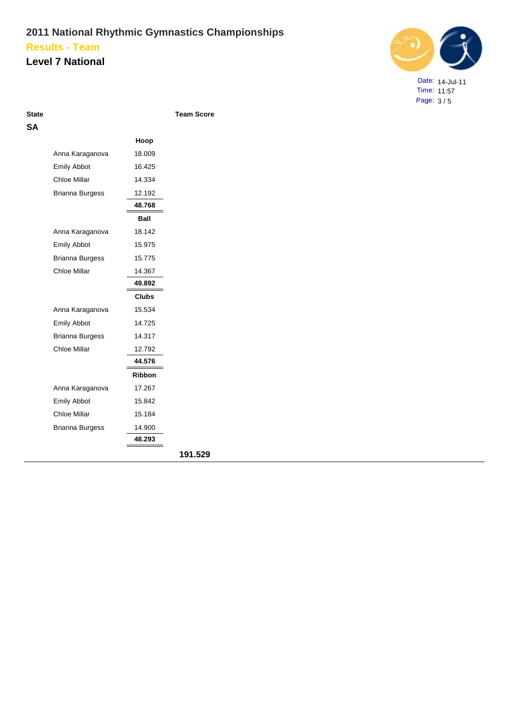### **Level 7 National**



Date: 14-Jul-11 Time: 11:57 Page: 3 / 5

| э.<br>× | ۹ |
|---------|---|
|         |   |

**State Team Score**

|                        | Hoop         |
|------------------------|--------------|
| Anna Karaganova        | 18.009       |
| <b>Emily Abbot</b>     | 16.425       |
| <b>Chloe Millar</b>    | 14.334       |
| <b>Brianna Burgess</b> | 12.192       |
|                        | 48.768       |
|                        | Ball         |
| Anna Karaganova        | 18.142       |
| <b>Emily Abbot</b>     | 15.975       |
| <b>Brianna Burgess</b> | 15.775       |
| Chloe Millar           | 14.367       |
|                        | 49.892       |
|                        | <b>Clubs</b> |
| Anna Karaganova        | 15.534       |
| <b>Emily Abbot</b>     | 14.725       |
| <b>Brianna Burgess</b> | 14.317       |
| <b>Chloe Millar</b>    | 12.792       |
|                        | 44.576       |
|                        | Ribbon       |
| Anna Karaganova        | 17.267       |
| <b>Emily Abbot</b>     | 15.842       |
| <b>Chloe Millar</b>    | 15.184       |
| <b>Brianna Burgess</b> | 14.900       |
|                        | 48.293       |
|                        |              |
|                        |              |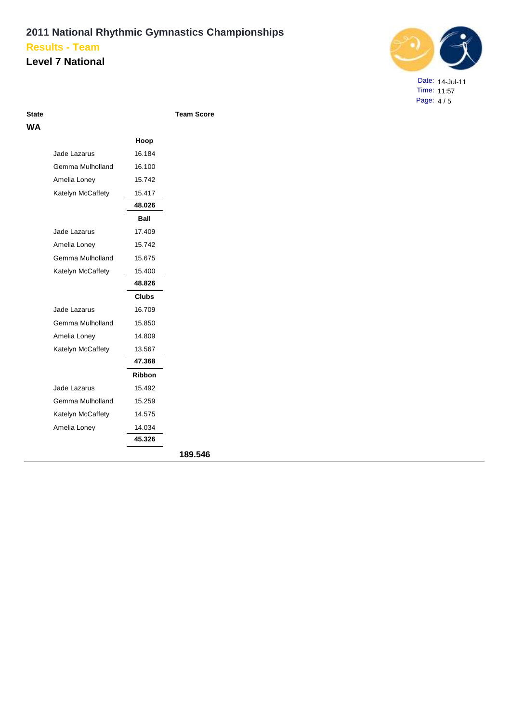#### **Level 7 National**



Date: 14-Jul-11 Time: 11:57 Page: 4 / 5

| State |  |
|-------|--|
| WА    |  |

**State Team Score**

|                   | Hoop         |
|-------------------|--------------|
| Jade Lazarus      | 16.184       |
| Gemma Mulholland  | 16.100       |
| Amelia Loney      | 15.742       |
| Katelyn McCaffety | 15.417       |
|                   | 48.026       |
|                   | Ball         |
| Jade Lazarus      | 17.409       |
| Amelia Loney      | 15.742       |
| Gemma Mulholland  | 15.675       |
| Katelyn McCaffety | 15.400       |
|                   | 48.826       |
|                   | <b>Clubs</b> |
| Jade Lazarus      | 16.709       |
| Gemma Mulholland  | 15.850       |
| Amelia Loney      | 14.809       |
| Katelyn McCaffety | 13.567       |
|                   | 47.368       |
|                   | Ribbon       |
| Jade Lazarus      | 15.492       |
| Gemma Mulholland  | 15.259       |
| Katelyn McCaffety | 14.575       |
| Amelia Loney      | 14.034       |
|                   | 45.326       |
|                   |              |